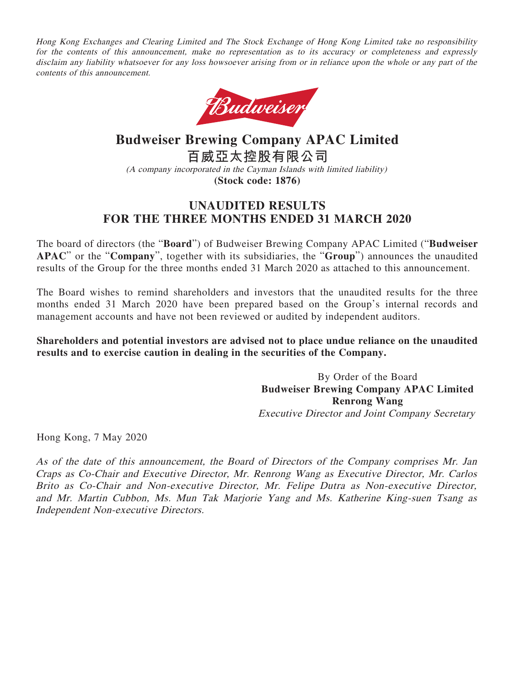Hong Kong Exchanges and Clearing Limited and The Stock Exchange of Hong Kong Limited take no responsibility for the contents of this announcement, make no representation as to its accuracy or completeness and expressly disclaim any liability whatsoever for any loss howsoever arising from or in reliance upon the whole or any part of the contents of this announcement.



# **Budweiser Brewing Company APAC Limited 百威亞太控股有限公司** (A company incorporated in the Cayman Islands with limited liability) **(Stock code: 1876)**

# **UNAUDITED RESULTS FOR THE THREE MONTHS ENDED 31 MARCH 2020**

The board of directors (the "**Board**") of Budweiser Brewing Company APAC Limited ("**Budweiser APAC**" or the "**Company**", together with its subsidiaries, the "**Group**") announces the unaudited results of the Group for the three months ended 31 March 2020 as attached to this announcement.

The Board wishes to remind shareholders and investors that the unaudited results for the three months ended 31 March 2020 have been prepared based on the Group's internal records and management accounts and have not been reviewed or audited by independent auditors.

## **Shareholders and potential investors are advised not to place undue reliance on the unaudited results and to exercise caution in dealing in the securities of the Company.**

By Order of the Board **Budweiser Brewing Company APAC Limited Renrong Wang** Executive Director and Joint Company Secretary

Hong Kong, 7 May 2020

As of the date of this announcement, the Board of Directors of the Company comprises Mr. Jan Craps as Co-Chair and Executive Director, Mr. Renrong Wang as Executive Director, Mr. Carlos Brito as Co-Chair and Non-executive Director, Mr. Felipe Dutra as Non-executive Director, and Mr. Martin Cubbon, Ms. Mun Tak Marjorie Yang and Ms. Katherine King-suen Tsang as Independent Non-executive Directors.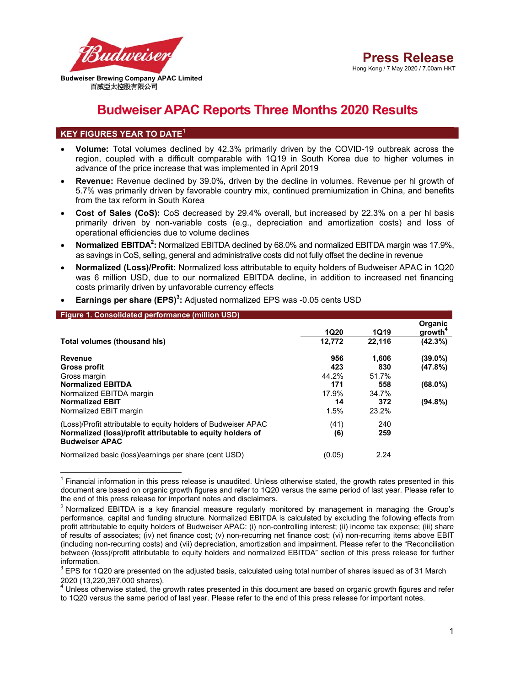

# **Budweiser APAC Reports Three Months 2020 Results**

## **KEY FIGURES YEAR TO DATE<sup>1</sup>**

-

- **Volume:** Total volumes declined by 42.3% primarily driven by the COVID-19 outbreak across the region, coupled with a difficult comparable with 1Q19 in South Korea due to higher volumes in advance of the price increase that was implemented in April 2019
- **Revenue:** Revenue declined by 39.0%, driven by the decline in volumes. Revenue per hl growth of 5.7% was primarily driven by favorable country mix, continued premiumization in China, and benefits from the tax reform in South Korea
- **Cost of Sales (CoS):** CoS decreased by 29.4% overall, but increased by 22.3% on a per hl basis primarily driven by non-variable costs (e.g., depreciation and amortization costs) and loss of operational efficiencies due to volume declines
- Normalized EBITDA<sup>2</sup>: Normalized EBITDA declined by 68.0% and normalized EBITDA margin was 17.9%, as savings in CoS, selling, general and administrative costs did not fully offset the decline in revenue
- **Normalized (Loss)/Profit:** Normalized loss attributable to equity holders of Budweiser APAC in 1Q20 was 6 million USD, due to our normalized EBITDA decline, in addition to increased net financing costs primarily driven by unfavorable currency effects

| Figure 1. Consolidated performance (million USD)                                    |             |             |                                |
|-------------------------------------------------------------------------------------|-------------|-------------|--------------------------------|
|                                                                                     | <b>1Q20</b> | <b>1Q19</b> | Organic<br>growth <sup>4</sup> |
| Total volumes (thousand his)                                                        | 12,772      | 22.116      | $(42.3\%)$                     |
| Revenue                                                                             | 956         | 1,606       | $(39.0\%)$                     |
| Gross profit                                                                        | 423         | 830         | (47.8%)                        |
| Gross margin                                                                        | 44.2%       | 51.7%       |                                |
| <b>Normalized EBITDA</b>                                                            | 171         | 558         | $(68.0\%)$                     |
| Normalized EBITDA margin                                                            | 17.9%       | 34.7%       |                                |
| <b>Normalized EBIT</b>                                                              | 14          | 372         | $(94.8\%)$                     |
| Normalized EBIT margin                                                              | 1.5%        | 23.2%       |                                |
| (Loss)/Profit attributable to equity holders of Budweiser APAC                      | (41)        | 240         |                                |
| Normalized (loss)/profit attributable to equity holders of<br><b>Budweiser APAC</b> | (6)         | 259         |                                |
| Normalized basic (loss)/earnings per share (cent USD)                               | (0.05)      | 2.24        |                                |

**Earnings per share (EPS)<sup>3</sup> :** Adjusted normalized EPS was -0.05 cents USD

1 Financial information in this press release is unaudited. Unless otherwise stated, the growth rates presented in this document are based on organic growth figures and refer to 1Q20 versus the same period of last year. Please refer to the end of this press release for important notes and disclaimers. 2

 $<sup>2</sup>$  Normalized EBITDA is a key financial measure regularly monitored by management in managing the Group's</sup> performance, capital and funding structure. Normalized EBITDA is calculated by excluding the following effects from profit attributable to equity holders of Budweiser APAC: (i) non-controlling interest; (ii) income tax expense; (iii) share of results of associates; (iv) net finance cost; (v) non-recurring net finance cost; (vi) non-recurring items above EBIT (including non-recurring costs) and (vii) depreciation, amortization and impairment. Please refer to the "Reconciliation between (loss)/profit attributable to equity holders and normalized EBITDA" section of this press release for further information.

 $3$  EPS for 1Q20 are presented on the adjusted basis, calculated using total number of shares issued as of 31 March 2020 (13,220,397,000 shares).

 $^4$  Unless otherwise stated, the growth rates presented in this document are based on organic growth figures and refer to 1Q20 versus the same period of last year. Please refer to the end of this press release for important notes.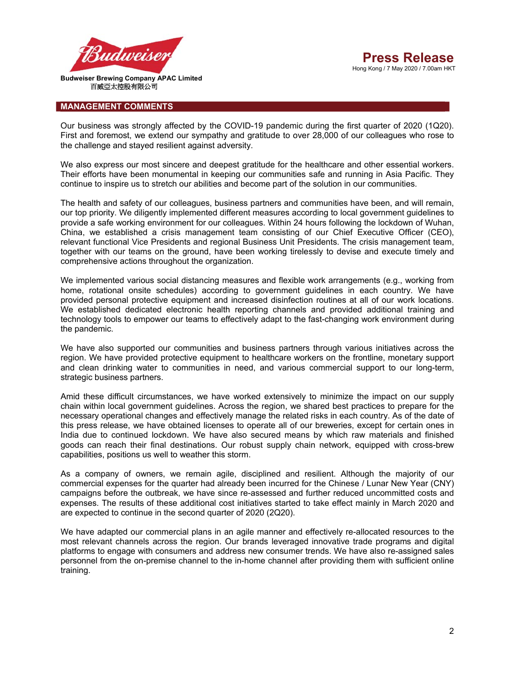

#### **MANAGEMENT COMMENTS**

Our business was strongly affected by the COVID-19 pandemic during the first quarter of 2020 (1Q20). First and foremost, we extend our sympathy and gratitude to over 28,000 of our colleagues who rose to the challenge and stayed resilient against adversity.

We also express our most sincere and deepest gratitude for the healthcare and other essential workers. Their efforts have been monumental in keeping our communities safe and running in Asia Pacific. They continue to inspire us to stretch our abilities and become part of the solution in our communities.

The health and safety of our colleagues, business partners and communities have been, and will remain, our top priority. We diligently implemented different measures according to local government guidelines to provide a safe working environment for our colleagues. Within 24 hours following the lockdown of Wuhan, China, we established a crisis management team consisting of our Chief Executive Officer (CEO), relevant functional Vice Presidents and regional Business Unit Presidents. The crisis management team, together with our teams on the ground, have been working tirelessly to devise and execute timely and comprehensive actions throughout the organization.

We implemented various social distancing measures and flexible work arrangements (e.g., working from home, rotational onsite schedules) according to government guidelines in each country. We have provided personal protective equipment and increased disinfection routines at all of our work locations. We established dedicated electronic health reporting channels and provided additional training and technology tools to empower our teams to effectively adapt to the fast-changing work environment during the pandemic.

We have also supported our communities and business partners through various initiatives across the region. We have provided protective equipment to healthcare workers on the frontline, monetary support and clean drinking water to communities in need, and various commercial support to our long-term, strategic business partners.

Amid these difficult circumstances, we have worked extensively to minimize the impact on our supply chain within local government guidelines. Across the region, we shared best practices to prepare for the necessary operational changes and effectively manage the related risks in each country. As of the date of this press release, we have obtained licenses to operate all of our breweries, except for certain ones in India due to continued lockdown. We have also secured means by which raw materials and finished goods can reach their final destinations. Our robust supply chain network, equipped with cross-brew capabilities, positions us well to weather this storm.

As a company of owners, we remain agile, disciplined and resilient. Although the majority of our commercial expenses for the quarter had already been incurred for the Chinese / Lunar New Year (CNY) campaigns before the outbreak, we have since re-assessed and further reduced uncommitted costs and expenses. The results of these additional cost initiatives started to take effect mainly in March 2020 and are expected to continue in the second quarter of 2020 (2Q20).

We have adapted our commercial plans in an agile manner and effectively re-allocated resources to the most relevant channels across the region. Our brands leveraged innovative trade programs and digital platforms to engage with consumers and address new consumer trends. We have also re-assigned sales personnel from the on-premise channel to the in-home channel after providing them with sufficient online training.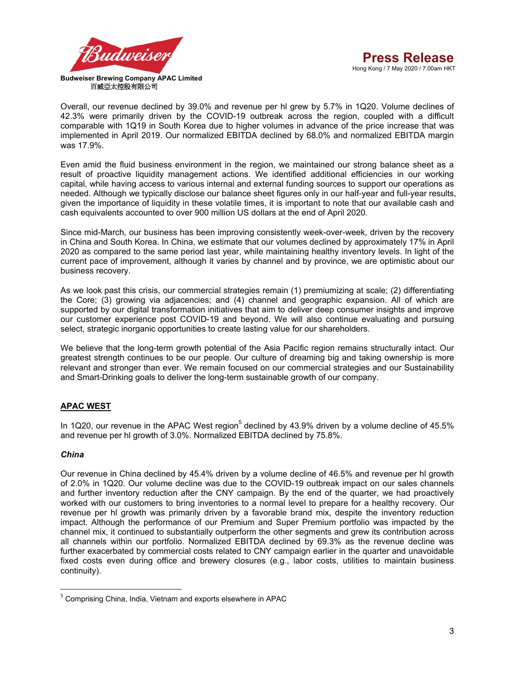

Overall, our revenue declined by 39.0% and revenue per hl grew by 5.7% in 1Q20. Volume declines of 42.3% were primarily driven by the COVID-19 outbreak across the region, coupled with a difficult comparable with 1Q19 in South Korea due to higher volumes in advance of the price increase that was implemented in April 2019. Our normalized EBITDA declined by 68.0% and normalized EBITDA margin was 17.9%.

Even amid the fluid business environment in the region, we maintained our strong balance sheet as a result of proactive liquidity management actions. We identified additional efficiencies in our working capital, while having access to various internal and external funding sources to support our operations as needed. Although we typically disclose our balance sheet figures only in our half-year and full-year results, given the importance of liquidity in these volatile times, it is important to note that our available cash and cash equivalents accounted to over 900 million US dollars at the end of April 2020.

Since mid-March, our business has been improving consistently week-over-week, driven by the recovery in China and South Korea. In China, we estimate that our volumes declined by approximately 17% in April 2020 as compared to the same period last year, while maintaining healthy inventory levels. In light of the current pace of improvement, although it varies by channel and by province, we are optimistic about our business recovery.

As we look past this crisis, our commercial strategies remain (1) premiumizing at scale; (2) differentiating the Core; (3) growing via adjacencies; and (4) channel and geographic expansion. All of which are supported by our digital transformation initiatives that aim to deliver deep consumer insights and improve our customer experience post COVID-19 and beyond. We will also continue evaluating and pursuing select, strategic inorganic opportunities to create lasting value for our shareholders.

We believe that the long-term growth potential of the Asia Pacific region remains structurally intact. Our greatest strength continues to be our people. Our culture of dreaming big and taking ownership is more relevant and stronger than ever. We remain focused on our commercial strategies and our Sustainability and Smart-Drinking goals to deliver the long-term sustainable growth of our company.

## **APAC WEST**

In 1Q20, our revenue in the APAC West region<sup>5</sup> declined by 43.9% driven by a volume decline of 45.5% and revenue per hl growth of 3.0%. Normalized EBITDA declined by 75.8%.

## *China*

**.** 

Our revenue in China declined by 45.4% driven by a volume decline of 46.5% and revenue per hl growth of 2.0% in 1Q20. Our volume decline was due to the COVID-19 outbreak impact on our sales channels and further inventory reduction after the CNY campaign. By the end of the quarter, we had proactively worked with our customers to bring inventories to a normal level to prepare for a healthy recovery. Our revenue per hl growth was primarily driven by a favorable brand mix, despite the inventory reduction impact. Although the performance of our Premium and Super Premium portfolio was impacted by the channel mix, it continued to substantially outperform the other segments and grew its contribution across all channels within our portfolio. Normalized EBITDA declined by 69.3% as the revenue decline was further exacerbated by commercial costs related to CNY campaign earlier in the quarter and unavoidable fixed costs even during office and brewery closures (e.g., labor costs, utilities to maintain business continuity).

<sup>5</sup> Comprising China, India, Vietnam and exports elsewhere in APAC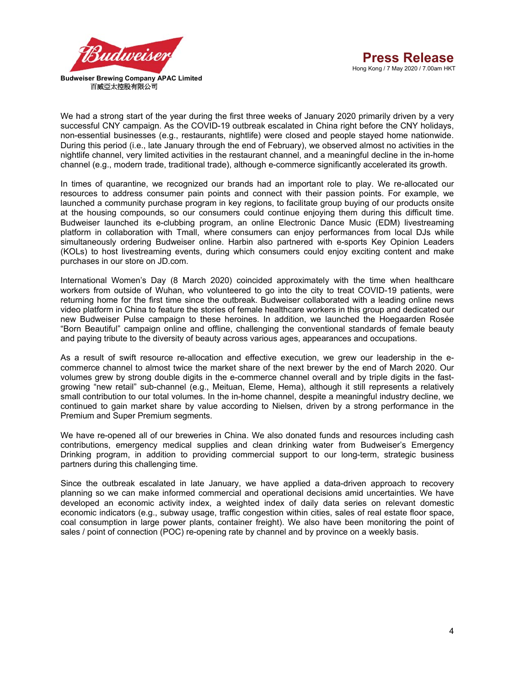



We had a strong start of the year during the first three weeks of January 2020 primarily driven by a very successful CNY campaign. As the COVID-19 outbreak escalated in China right before the CNY holidays, non-essential businesses (e.g., restaurants, nightlife) were closed and people stayed home nationwide. During this period (i.e., late January through the end of February), we observed almost no activities in the nightlife channel, very limited activities in the restaurant channel, and a meaningful decline in the in-home channel (e.g., modern trade, traditional trade), although e-commerce significantly accelerated its growth.

In times of quarantine, we recognized our brands had an important role to play. We re-allocated our resources to address consumer pain points and connect with their passion points. For example, we launched a community purchase program in key regions, to facilitate group buying of our products onsite at the housing compounds, so our consumers could continue enjoying them during this difficult time. Budweiser launched its e-clubbing program, an online Electronic Dance Music (EDM) livestreaming platform in collaboration with Tmall, where consumers can enjoy performances from local DJs while simultaneously ordering Budweiser online. Harbin also partnered with e-sports Key Opinion Leaders (KOLs) to host livestreaming events, during which consumers could enjoy exciting content and make purchases in our store on JD.com.

International Women's Day (8 March 2020) coincided approximately with the time when healthcare workers from outside of Wuhan, who volunteered to go into the city to treat COVID-19 patients, were returning home for the first time since the outbreak. Budweiser collaborated with a leading online news video platform in China to feature the stories of female healthcare workers in this group and dedicated our new Budweiser Pulse campaign to these heroines. In addition, we launched the Hoegaarden Rosée "Born Beautiful" campaign online and offline, challenging the conventional standards of female beauty and paying tribute to the diversity of beauty across various ages, appearances and occupations.

As a result of swift resource re-allocation and effective execution, we grew our leadership in the ecommerce channel to almost twice the market share of the next brewer by the end of March 2020. Our volumes grew by strong double digits in the e-commerce channel overall and by triple digits in the fastgrowing "new retail" sub-channel (e.g., Meituan, Eleme, Hema), although it still represents a relatively small contribution to our total volumes. In the in-home channel, despite a meaningful industry decline, we continued to gain market share by value according to Nielsen, driven by a strong performance in the Premium and Super Premium segments.

We have re-opened all of our breweries in China. We also donated funds and resources including cash contributions, emergency medical supplies and clean drinking water from Budweiser's Emergency Drinking program, in addition to providing commercial support to our long-term, strategic business partners during this challenging time.

Since the outbreak escalated in late January, we have applied a data-driven approach to recovery planning so we can make informed commercial and operational decisions amid uncertainties. We have developed an economic activity index, a weighted index of daily data series on relevant domestic economic indicators (e.g., subway usage, traffic congestion within cities, sales of real estate floor space, coal consumption in large power plants, container freight). We also have been monitoring the point of sales / point of connection (POC) re-opening rate by channel and by province on a weekly basis.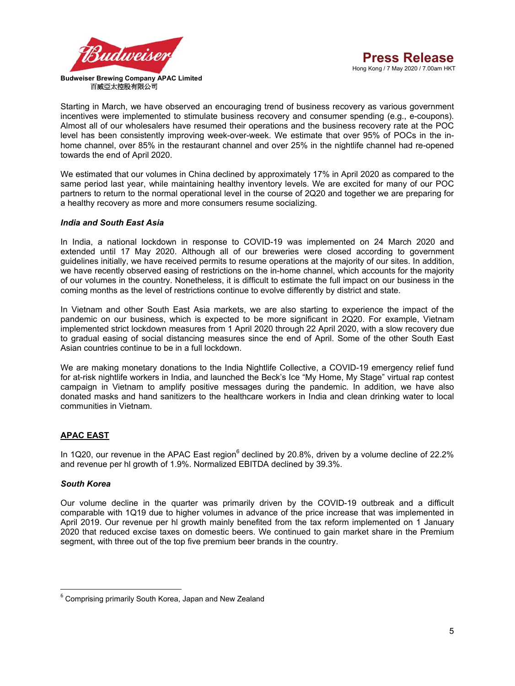

Starting in March, we have observed an encouraging trend of business recovery as various government incentives were implemented to stimulate business recovery and consumer spending (e.g., e-coupons). Almost all of our wholesalers have resumed their operations and the business recovery rate at the POC level has been consistently improving week-over-week. We estimate that over 95% of POCs in the inhome channel, over 85% in the restaurant channel and over 25% in the nightlife channel had re-opened towards the end of April 2020.

We estimated that our volumes in China declined by approximately 17% in April 2020 as compared to the same period last year, while maintaining healthy inventory levels. We are excited for many of our POC partners to return to the normal operational level in the course of 2Q20 and together we are preparing for a healthy recovery as more and more consumers resume socializing.

## *India and South East Asia*

In India, a national lockdown in response to COVID-19 was implemented on 24 March 2020 and extended until 17 May 2020. Although all of our breweries were closed according to government guidelines initially, we have received permits to resume operations at the majority of our sites. In addition, we have recently observed easing of restrictions on the in-home channel, which accounts for the majority of our volumes in the country. Nonetheless, it is difficult to estimate the full impact on our business in the coming months as the level of restrictions continue to evolve differently by district and state.

In Vietnam and other South East Asia markets, we are also starting to experience the impact of the pandemic on our business, which is expected to be more significant in 2Q20. For example, Vietnam implemented strict lockdown measures from 1 April 2020 through 22 April 2020, with a slow recovery due to gradual easing of social distancing measures since the end of April. Some of the other South East Asian countries continue to be in a full lockdown.

We are making monetary donations to the India Nightlife Collective, a COVID-19 emergency relief fund for at-risk nightlife workers in India, and launched the Beck's Ice "My Home, My Stage" virtual rap contest campaign in Vietnam to amplify positive messages during the pandemic. In addition, we have also donated masks and hand sanitizers to the healthcare workers in India and clean drinking water to local communities in Vietnam.

## **APAC EAST**

In 1Q20, our revenue in the APAC East region $^6$  declined by 20.8%, driven by a volume decline of 22.2% and revenue per hl growth of 1.9%. Normalized EBITDA declined by 39.3%.

## *South Korea*

**.** 

Our volume decline in the quarter was primarily driven by the COVID-19 outbreak and a difficult comparable with 1Q19 due to higher volumes in advance of the price increase that was implemented in April 2019. Our revenue per hl growth mainly benefited from the tax reform implemented on 1 January 2020 that reduced excise taxes on domestic beers. We continued to gain market share in the Premium segment, with three out of the top five premium beer brands in the country.

<sup>&</sup>lt;sup>6</sup> Comprising primarily South Korea, Japan and New Zealand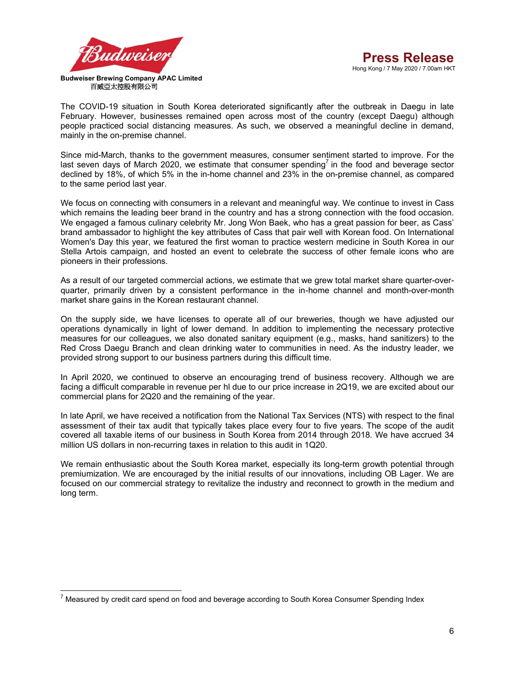

The COVID-19 situation in South Korea deteriorated significantly after the outbreak in Daegu in late February. However, businesses remained open across most of the country (except Daegu) although people practiced social distancing measures. As such, we observed a meaningful decline in demand, mainly in the on-premise channel.

Since mid-March, thanks to the government measures, consumer sentiment started to improve. For the last seven days of March 2020, we estimate that consumer spending<sup>7</sup> in the food and beverage sector declined by 18%, of which 5% in the in-home channel and 23% in the on-premise channel, as compared to the same period last year.

We focus on connecting with consumers in a relevant and meaningful way. We continue to invest in Cass which remains the leading beer brand in the country and has a strong connection with the food occasion. We engaged a famous culinary celebrity Mr. Jong Won Baek, who has a great passion for beer, as Cass' brand ambassador to highlight the key attributes of Cass that pair well with Korean food. On International Women's Day this year, we featured the first woman to practice western medicine in South Korea in our Stella Artois campaign, and hosted an event to celebrate the success of other female icons who are pioneers in their professions.

As a result of our targeted commercial actions, we estimate that we grew total market share quarter-overquarter, primarily driven by a consistent performance in the in-home channel and month-over-month market share gains in the Korean restaurant channel.

On the supply side, we have licenses to operate all of our breweries, though we have adjusted our operations dynamically in light of lower demand. In addition to implementing the necessary protective measures for our colleagues, we also donated sanitary equipment (e.g., masks, hand sanitizers) to the Red Cross Daegu Branch and clean drinking water to communities in need. As the industry leader, we provided strong support to our business partners during this difficult time.

In April 2020, we continued to observe an encouraging trend of business recovery. Although we are facing a difficult comparable in revenue per hl due to our price increase in 2Q19, we are excited about our commercial plans for 2Q20 and the remaining of the year.

In late April, we have received a notification from the National Tax Services (NTS) with respect to the final assessment of their tax audit that typically takes place every four to five years. The scope of the audit covered all taxable items of our business in South Korea from 2014 through 2018. We have accrued 34 million US dollars in non-recurring taxes in relation to this audit in 1Q20.

We remain enthusiastic about the South Korea market, especially its long-term growth potential through premiumization. We are encouraged by the initial results of our innovations, including OB Lager. We are focused on our commercial strategy to revitalize the industry and reconnect to growth in the medium and long term.

<sup>-</sup> $^7$  Measured by credit card spend on food and beverage according to South Korea Consumer Spending Index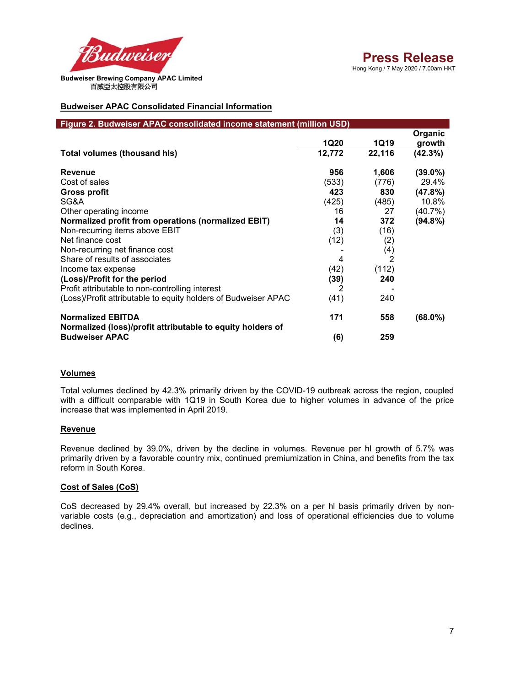

## **Budweiser APAC Consolidated Financial Information**

| Figure 2. Budweiser APAC consolidated income statement (million USD) |             |        |            |
|----------------------------------------------------------------------|-------------|--------|------------|
|                                                                      |             |        | Organic    |
|                                                                      | <b>1Q20</b> | 1Q19   | growth     |
| Total volumes (thousand his)                                         | 12,772      | 22,116 | (42.3%)    |
| <b>Revenue</b>                                                       | 956         | 1,606  | $(39.0\%)$ |
| Cost of sales                                                        | (533)       | (776)  | 29.4%      |
| <b>Gross profit</b>                                                  | 423         | 830    | (47.8%)    |
| SG&A                                                                 | (425)       | (485)  | 10.8%      |
| Other operating income                                               | 16          | 27     | $(40.7\%)$ |
| <b>Normalized profit from operations (normalized EBIT)</b>           | 14          | 372    | $(94.8\%)$ |
| Non-recurring items above EBIT                                       | (3)         | (16)   |            |
| Net finance cost                                                     | (12)        | (2)    |            |
| Non-recurring net finance cost                                       |             | (4)    |            |
| Share of results of associates                                       | 4           | 2      |            |
| Income tax expense                                                   | (42)        | (112)  |            |
| (Loss)/Profit for the period                                         | (39)        | 240    |            |
| Profit attributable to non-controlling interest                      | 2           |        |            |
| (Loss)/Profit attributable to equity holders of Budweiser APAC       | (41)        | 240    |            |
| <b>Normalized EBITDA</b>                                             | 171         | 558    | (68.0%)    |
| Normalized (loss)/profit attributable to equity holders of           |             |        |            |
| <b>Budweiser APAC</b>                                                | (6)         | 259    |            |

#### **Volumes**

Total volumes declined by 42.3% primarily driven by the COVID-19 outbreak across the region, coupled with a difficult comparable with 1Q19 in South Korea due to higher volumes in advance of the price increase that was implemented in April 2019.

#### **Revenue**

Revenue declined by 39.0%, driven by the decline in volumes. Revenue per hl growth of 5.7% was primarily driven by a favorable country mix, continued premiumization in China, and benefits from the tax reform in South Korea.

#### **Cost of Sales (CoS)**

CoS decreased by 29.4% overall, but increased by 22.3% on a per hl basis primarily driven by nonvariable costs (e.g., depreciation and amortization) and loss of operational efficiencies due to volume declines.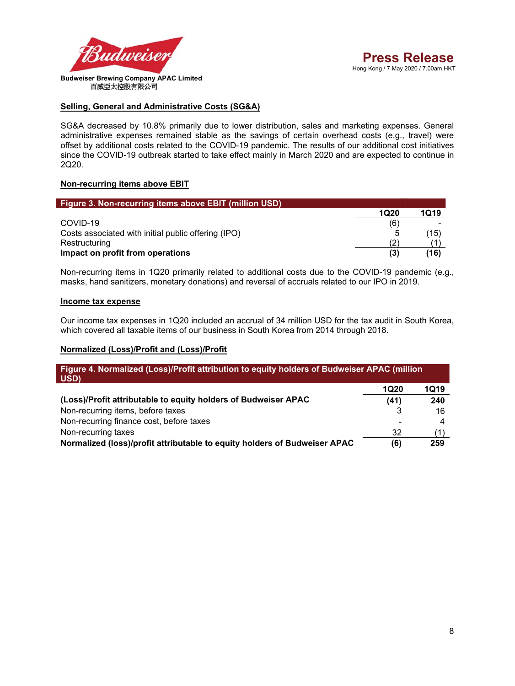

## **Selling, General and Administrative Costs (SG&A)**

SG&A decreased by 10.8% primarily due to lower distribution, sales and marketing expenses. General administrative expenses remained stable as the savings of certain overhead costs (e.g., travel) were offset by additional costs related to the COVID-19 pandemic. The results of our additional cost initiatives since the COVID-19 outbreak started to take effect mainly in March 2020 and are expected to continue in 2Q20.

#### **Non-recurring items above EBIT**

| Figure 3. Non-recurring items above EBIT (million USD) |      |      |
|--------------------------------------------------------|------|------|
|                                                        | 1Q20 | 1019 |
| COVID-19                                               | (6)  | -    |
| Costs associated with initial public offering (IPO)    |      | (15) |
| Restructuring                                          | (2)  |      |
| Impact on profit from operations                       | (3)  | (16) |

Non-recurring items in 1Q20 primarily related to additional costs due to the COVID-19 pandemic (e.g., masks, hand sanitizers, monetary donations) and reversal of accruals related to our IPO in 2019.

#### **Income tax expense**

I

Our income tax expenses in 1Q20 included an accrual of 34 million USD for the tax audit in South Korea, which covered all taxable items of our business in South Korea from 2014 through 2018.

## **Normalized (Loss)/Profit and (Loss)/Profit**

| Figure 4. Normalized (Loss)/Profit attribution to equity holders of Budweiser APAC (million<br>USD) |             |      |
|-----------------------------------------------------------------------------------------------------|-------------|------|
|                                                                                                     | <b>1Q20</b> | 1Q19 |
| (Loss)/Profit attributable to equity holders of Budweiser APAC                                      | (41)        | 240  |
| Non-recurring items, before taxes                                                                   |             | 16   |
| Non-recurring finance cost, before taxes                                                            |             |      |
| Non-recurring taxes                                                                                 | 32          |      |
| Normalized (loss)/profit attributable to equity holders of Budweiser APAC                           | (6)         | 259  |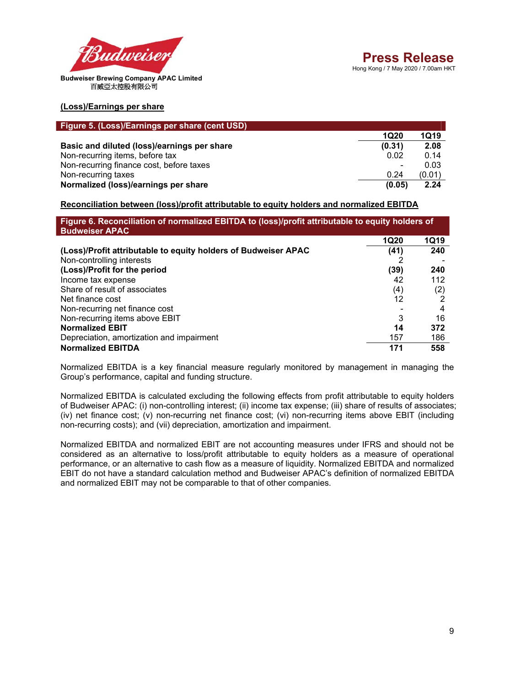

**(Loss)/Earnings per share**

| Figure 5. (Loss)/Earnings per share (cent USD) |             |             |
|------------------------------------------------|-------------|-------------|
|                                                | <b>1Q20</b> | <b>1Q19</b> |
| Basic and diluted (loss)/earnings per share    | (0.31)      | 2.08        |
| Non-recurring items, before tax                | 0.02        | 0.14        |
| Non-recurring finance cost, before taxes       |             | 0.03        |
| Non-recurring taxes                            | 0.24        | (0.01)      |
| Normalized (loss)/earnings per share           | (0.05)      | 2.24        |

## **Reconciliation between (loss)/profit attributable to equity holders and normalized EBITDA**

| Figure 6. Reconciliation of normalized EBITDA to (loss)/profit attributable to equity holders of<br><b>Budweiser APAC</b> |             |             |
|---------------------------------------------------------------------------------------------------------------------------|-------------|-------------|
|                                                                                                                           | <b>1Q20</b> | <b>1Q19</b> |
| (Loss)/Profit attributable to equity holders of Budweiser APAC                                                            | (41)        | 240         |
| Non-controlling interests                                                                                                 |             |             |
| (Loss)/Profit for the period                                                                                              | (39)        | 240         |
| Income tax expense                                                                                                        | 42          | 112         |
| Share of result of associates                                                                                             | (4)         | (2)         |
| Net finance cost                                                                                                          | 12          |             |
| Non-recurring net finance cost                                                                                            |             | 4           |
| Non-recurring items above EBIT                                                                                            | 3           | 16          |
| <b>Normalized EBIT</b>                                                                                                    | 14          | 372         |
| Depreciation, amortization and impairment                                                                                 | 157         | 186         |
| <b>Normalized EBITDA</b>                                                                                                  | 171         | 558         |

Normalized EBITDA is a key financial measure regularly monitored by management in managing the Group's performance, capital and funding structure.

Normalized EBITDA is calculated excluding the following effects from profit attributable to equity holders of Budweiser APAC: (i) non-controlling interest; (ii) income tax expense; (iii) share of results of associates; (iv) net finance cost; (v) non-recurring net finance cost; (vi) non-recurring items above EBIT (including non-recurring costs); and (vii) depreciation, amortization and impairment.

Normalized EBITDA and normalized EBIT are not accounting measures under IFRS and should not be considered as an alternative to loss/profit attributable to equity holders as a measure of operational performance, or an alternative to cash flow as a measure of liquidity. Normalized EBITDA and normalized EBIT do not have a standard calculation method and Budweiser APAC's definition of normalized EBITDA and normalized EBIT may not be comparable to that of other companies.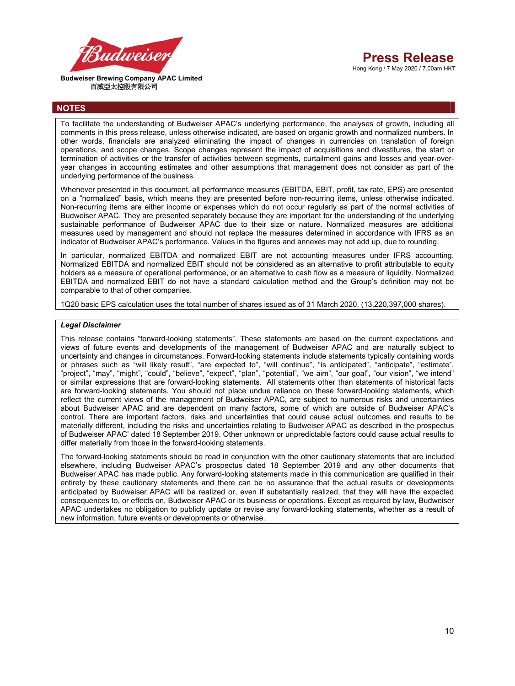



 **Budweiser Brewing Company APAC Limited**  百威亞太控股有限公司

## **NOTES**

To facilitate the understanding of Budweiser APAC's underlying performance, the analyses of growth, including all comments in this press release, unless otherwise indicated, are based on organic growth and normalized numbers. In other words, financials are analyzed eliminating the impact of changes in currencies on translation of foreign operations, and scope changes. Scope changes represent the impact of acquisitions and divestitures, the start or termination of activities or the transfer of activities between segments, curtailment gains and losses and year-overyear changes in accounting estimates and other assumptions that management does not consider as part of the underlying performance of the business.

Whenever presented in this document, all performance measures (EBITDA, EBIT, profit, tax rate, EPS) are presented on a "normalized" basis, which means they are presented before non-recurring items, unless otherwise indicated. Non-recurring items are either income or expenses which do not occur regularly as part of the normal activities of Budweiser APAC. They are presented separately because they are important for the understanding of the underlying sustainable performance of Budweiser APAC due to their size or nature. Normalized measures are additional measures used by management and should not replace the measures determined in accordance with IFRS as an indicator of Budweiser APAC's performance. Values in the figures and annexes may not add up, due to rounding.

In particular, normalized EBITDA and normalized EBIT are not accounting measures under IFRS accounting. Normalized EBITDA and normalized EBIT should not be considered as an alternative to profit attributable to equity holders as a measure of operational performance, or an alternative to cash flow as a measure of liquidity. Normalized EBITDA and normalized EBIT do not have a standard calculation method and the Group's definition may not be comparable to that of other companies.

1Q20 basic EPS calculation uses the total number of shares issued as of 31 March 2020. (13,220,397,000 shares).

#### *Legal Disclaimer*

This release contains "forward-looking statements". These statements are based on the current expectations and views of future events and developments of the management of Budweiser APAC and are naturally subject to uncertainty and changes in circumstances. Forward-looking statements include statements typically containing words or phrases such as "will likely result", "are expected to", "will continue", "is anticipated", "anticipate", "estimate", "project", "may", "might", "could", "believe", "expect", "plan", "potential", "we aim", "our goal", "our vision", "we intend" or similar expressions that are forward-looking statements. All statements other than statements of historical facts are forward-looking statements. You should not place undue reliance on these forward-looking statements, which reflect the current views of the management of Budweiser APAC, are subject to numerous risks and uncertainties about Budweiser APAC and are dependent on many factors, some of which are outside of Budweiser APAC's control. There are important factors, risks and uncertainties that could cause actual outcomes and results to be materially different, including the risks and uncertainties relating to Budweiser APAC as described in the prospectus of Budweiser APAC' dated 18 September 2019. Other unknown or unpredictable factors could cause actual results to differ materially from those in the forward-looking statements.

The forward-looking statements should be read in conjunction with the other cautionary statements that are included elsewhere, including Budweiser APAC's prospectus dated 18 September 2019 and any other documents that Budweiser APAC has made public. Any forward-looking statements made in this communication are qualified in their entirety by these cautionary statements and there can be no assurance that the actual results or developments anticipated by Budweiser APAC will be realized or, even if substantially realized, that they will have the expected consequences to, or effects on, Budweiser APAC or its business or operations. Except as required by law, Budweiser APAC undertakes no obligation to publicly update or revise any forward-looking statements, whether as a result of new information, future events or developments or otherwise.